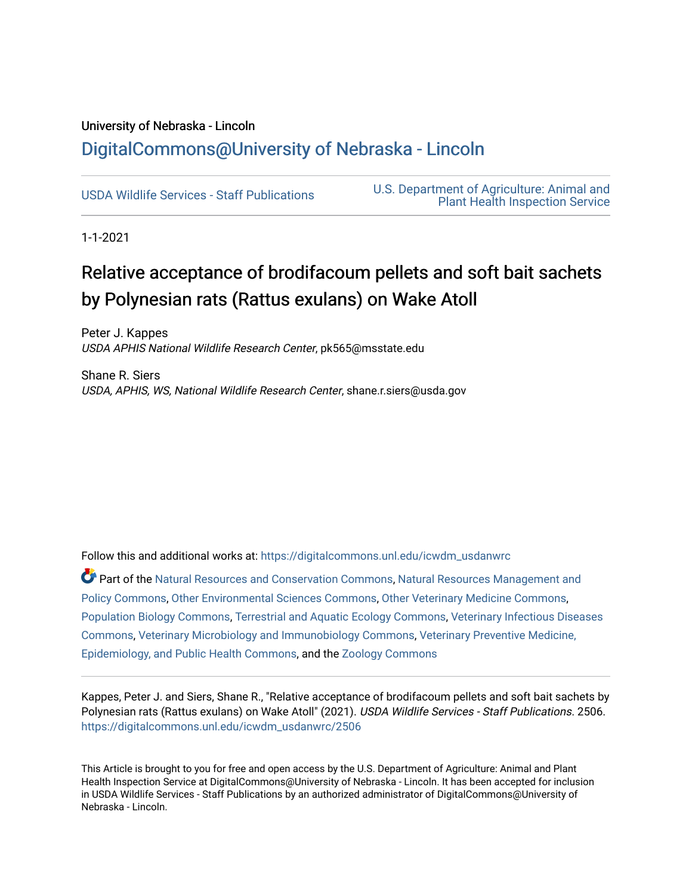# University of Nebraska - Lincoln [DigitalCommons@University of Nebraska - Lincoln](https://digitalcommons.unl.edu/)

[USDA Wildlife Services - Staff Publications](https://digitalcommons.unl.edu/icwdm_usdanwrc) [U.S. Department of Agriculture: Animal and](https://digitalcommons.unl.edu/usdaaphis)  [Plant Health Inspection Service](https://digitalcommons.unl.edu/usdaaphis) 

1-1-2021

# Relative acceptance of brodifacoum pellets and soft bait sachets by Polynesian rats (Rattus exulans) on Wake Atoll

Peter J. Kappes USDA APHIS National Wildlife Research Center, pk565@msstate.edu

Shane R. Siers USDA, APHIS, WS, National Wildlife Research Center, shane.r.siers@usda.gov

Follow this and additional works at: [https://digitalcommons.unl.edu/icwdm\\_usdanwrc](https://digitalcommons.unl.edu/icwdm_usdanwrc?utm_source=digitalcommons.unl.edu%2Ficwdm_usdanwrc%2F2506&utm_medium=PDF&utm_campaign=PDFCoverPages)

Part of the [Natural Resources and Conservation Commons,](http://network.bepress.com/hgg/discipline/168?utm_source=digitalcommons.unl.edu%2Ficwdm_usdanwrc%2F2506&utm_medium=PDF&utm_campaign=PDFCoverPages) [Natural Resources Management and](http://network.bepress.com/hgg/discipline/170?utm_source=digitalcommons.unl.edu%2Ficwdm_usdanwrc%2F2506&utm_medium=PDF&utm_campaign=PDFCoverPages) [Policy Commons](http://network.bepress.com/hgg/discipline/170?utm_source=digitalcommons.unl.edu%2Ficwdm_usdanwrc%2F2506&utm_medium=PDF&utm_campaign=PDFCoverPages), [Other Environmental Sciences Commons](http://network.bepress.com/hgg/discipline/173?utm_source=digitalcommons.unl.edu%2Ficwdm_usdanwrc%2F2506&utm_medium=PDF&utm_campaign=PDFCoverPages), [Other Veterinary Medicine Commons](http://network.bepress.com/hgg/discipline/771?utm_source=digitalcommons.unl.edu%2Ficwdm_usdanwrc%2F2506&utm_medium=PDF&utm_campaign=PDFCoverPages), [Population Biology Commons,](http://network.bepress.com/hgg/discipline/19?utm_source=digitalcommons.unl.edu%2Ficwdm_usdanwrc%2F2506&utm_medium=PDF&utm_campaign=PDFCoverPages) [Terrestrial and Aquatic Ecology Commons,](http://network.bepress.com/hgg/discipline/20?utm_source=digitalcommons.unl.edu%2Ficwdm_usdanwrc%2F2506&utm_medium=PDF&utm_campaign=PDFCoverPages) [Veterinary Infectious Diseases](http://network.bepress.com/hgg/discipline/770?utm_source=digitalcommons.unl.edu%2Ficwdm_usdanwrc%2F2506&utm_medium=PDF&utm_campaign=PDFCoverPages)  [Commons](http://network.bepress.com/hgg/discipline/770?utm_source=digitalcommons.unl.edu%2Ficwdm_usdanwrc%2F2506&utm_medium=PDF&utm_campaign=PDFCoverPages), [Veterinary Microbiology and Immunobiology Commons,](http://network.bepress.com/hgg/discipline/763?utm_source=digitalcommons.unl.edu%2Ficwdm_usdanwrc%2F2506&utm_medium=PDF&utm_campaign=PDFCoverPages) [Veterinary Preventive Medicine,](http://network.bepress.com/hgg/discipline/769?utm_source=digitalcommons.unl.edu%2Ficwdm_usdanwrc%2F2506&utm_medium=PDF&utm_campaign=PDFCoverPages)  [Epidemiology, and Public Health Commons,](http://network.bepress.com/hgg/discipline/769?utm_source=digitalcommons.unl.edu%2Ficwdm_usdanwrc%2F2506&utm_medium=PDF&utm_campaign=PDFCoverPages) and the [Zoology Commons](http://network.bepress.com/hgg/discipline/81?utm_source=digitalcommons.unl.edu%2Ficwdm_usdanwrc%2F2506&utm_medium=PDF&utm_campaign=PDFCoverPages)

Kappes, Peter J. and Siers, Shane R., "Relative acceptance of brodifacoum pellets and soft bait sachets by Polynesian rats (Rattus exulans) on Wake Atoll" (2021). USDA Wildlife Services - Staff Publications. 2506. [https://digitalcommons.unl.edu/icwdm\\_usdanwrc/2506](https://digitalcommons.unl.edu/icwdm_usdanwrc/2506?utm_source=digitalcommons.unl.edu%2Ficwdm_usdanwrc%2F2506&utm_medium=PDF&utm_campaign=PDFCoverPages) 

This Article is brought to you for free and open access by the U.S. Department of Agriculture: Animal and Plant Health Inspection Service at DigitalCommons@University of Nebraska - Lincoln. It has been accepted for inclusion in USDA Wildlife Services - Staff Publications by an authorized administrator of DigitalCommons@University of Nebraska - Lincoln.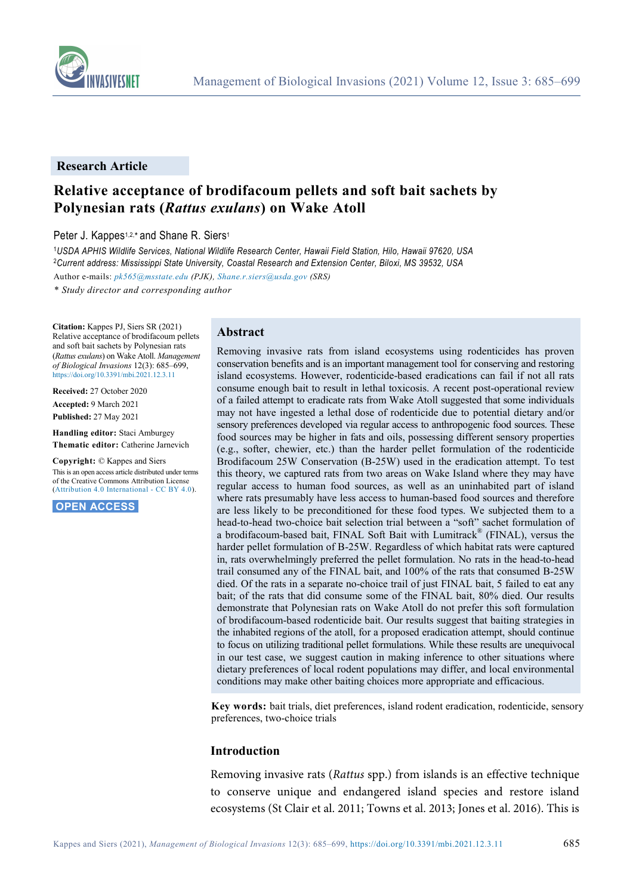

#### **Research Article**

## **Relative acceptance of brodifacoum pellets and soft bait sachets by Polynesian rats (***Rattus exulans***) on Wake Atoll**

Peter J. Kappes<sup>1,2,\*</sup> and Shane R. Siers<sup>1</sup>

<sup>1</sup>*USDA APHIS Wildlife Services, National Wildlife Research Center, Hawaii Field Station, Hilo, Hawaii 97620, USA* <sup>2</sup>*Current address: Mississippi State University, Coastal Research and Extension Center, Biloxi, MS 39532, USA* Author e-mails: *[pk565@msstate.edu](mailto:pk565@msstate.edu) (PJK)[, Shane.r.siers@usda.gov](mailto:Shane.r.siers@usda.gov) (SRS)*

*\* Study director and corresponding author*

**Citation:** Kappes PJ, Siers SR (2021) Relative acceptance of brodifacoum pellets and soft bait sachets by Polynesian rats (*Rattus exulans*) on Wake Atoll. *Management of Biological Invasions* 12(3): 685–699, <https://doi.org/10.3391/mbi.2021.12.3.11>

**Received:** 27 October 2020 **Accepted:** 9 March 2021 **Published:** 27 May 2021

**Handling editor:** Staci Amburgey **Thematic editor:** Catherine Jarnevich

**Copyright:** © Kappes and Siers This is an open access article distributed under terms of the Creative Commons Attribution License

[\(Attribution 4.0 International -](https://creativecommons.org/licenses/by/4.0/) CC BY 4.0).

**OPEN ACCESS.**

#### **Abstract**

Removing invasive rats from island ecosystems using rodenticides has proven conservation benefits and is an important management tool for conserving and restoring island ecosystems. However, rodenticide-based eradications can fail if not all rats consume enough bait to result in lethal toxicosis. A recent post-operational review of a failed attempt to eradicate rats from Wake Atoll suggested that some individuals may not have ingested a lethal dose of rodenticide due to potential dietary and/or sensory preferences developed via regular access to anthropogenic food sources. These food sources may be higher in fats and oils, possessing different sensory properties (e.g., softer, chewier, etc.) than the harder pellet formulation of the rodenticide Brodifacoum 25W Conservation (B-25W) used in the eradication attempt. To test this theory, we captured rats from two areas on Wake Island where they may have regular access to human food sources, as well as an uninhabited part of island where rats presumably have less access to human-based food sources and therefore are less likely to be preconditioned for these food types. We subjected them to a head-to-head two-choice bait selection trial between a "soft" sachet formulation of a brodifacoum-based bait, FINAL Soft Bait with Lumitrack® (FINAL), versus the harder pellet formulation of B-25W. Regardless of which habitat rats were captured in, rats overwhelmingly preferred the pellet formulation. No rats in the head-to-head trail consumed any of the FINAL bait, and 100% of the rats that consumed B-25W died. Of the rats in a separate no-choice trail of just FINAL bait, 5 failed to eat any bait; of the rats that did consume some of the FINAL bait, 80% died. Our results demonstrate that Polynesian rats on Wake Atoll do not prefer this soft formulation of brodifacoum-based rodenticide bait. Our results suggest that baiting strategies in the inhabited regions of the atoll, for a proposed eradication attempt, should continue to focus on utilizing traditional pellet formulations. While these results are unequivocal in our test case, we suggest caution in making inference to other situations where dietary preferences of local rodent populations may differ, and local environmental conditions may make other baiting choices more appropriate and efficacious.

**Key words:** bait trials, diet preferences, island rodent eradication, rodenticide, sensory preferences, two-choice trials

#### **Introduction**

Removing invasive rats (*Rattus* spp.) from islands is an effective technique to conserve unique and endangered island species and restore island ecosystems (St Clair et al. 2011; Towns et al. 2013; Jones et al. 2016). This is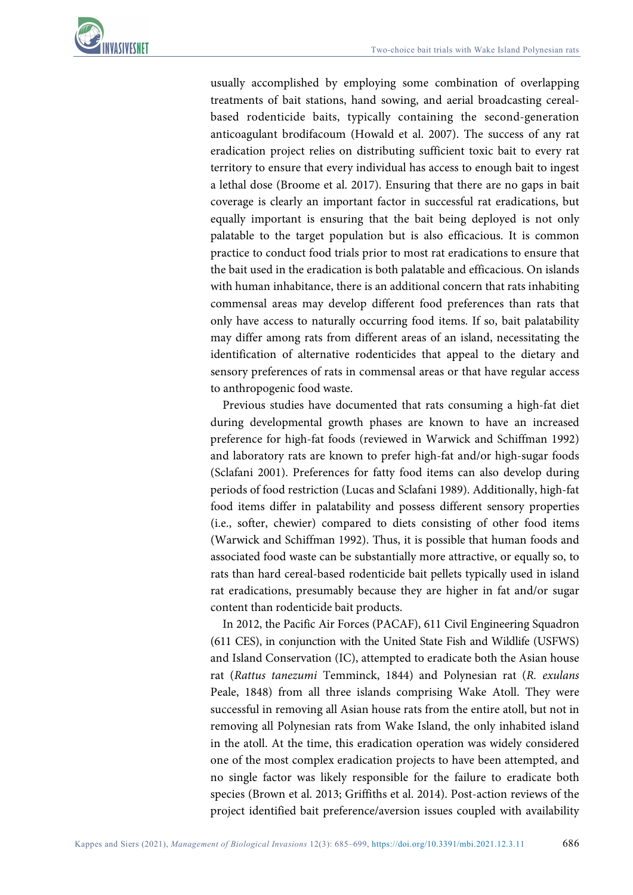

usually accomplished by employing some combination of overlapping treatments of bait stations, hand sowing, and aerial broadcasting cerealbased rodenticide baits, typically containing the second-generation anticoagulant brodifacoum (Howald et al. 2007). The success of any rat eradication project relies on distributing sufficient toxic bait to every rat territory to ensure that every individual has access to enough bait to ingest a lethal dose (Broome et al. 2017). Ensuring that there are no gaps in bait coverage is clearly an important factor in successful rat eradications, but equally important is ensuring that the bait being deployed is not only palatable to the target population but is also efficacious. It is common practice to conduct food trials prior to most rat eradications to ensure that the bait used in the eradication is both palatable and efficacious. On islands with human inhabitance, there is an additional concern that rats inhabiting commensal areas may develop different food preferences than rats that only have access to naturally occurring food items. If so, bait palatability may differ among rats from different areas of an island, necessitating the identification of alternative rodenticides that appeal to the dietary and sensory preferences of rats in commensal areas or that have regular access to anthropogenic food waste.

Previous studies have documented that rats consuming a high-fat diet during developmental growth phases are known to have an increased preference for high-fat foods (reviewed in Warwick and Schiffman 1992) and laboratory rats are known to prefer high-fat and/or high-sugar foods (Sclafani 2001). Preferences for fatty food items can also develop during periods of food restriction (Lucas and Sclafani 1989). Additionally, high-fat food items differ in palatability and possess different sensory properties (i.e., softer, chewier) compared to diets consisting of other food items (Warwick and Schiffman 1992). Thus, it is possible that human foods and associated food waste can be substantially more attractive, or equally so, to rats than hard cereal-based rodenticide bait pellets typically used in island rat eradications, presumably because they are higher in fat and/or sugar content than rodenticide bait products.

In 2012, the Pacific Air Forces (PACAF), 611 Civil Engineering Squadron (611 CES), in conjunction with the United State Fish and Wildlife (USFWS) and Island Conservation (IC), attempted to eradicate both the Asian house rat (*Rattus tanezumi* Temminck, 1844) and Polynesian rat (*R. exulans*  Peale, 1848) from all three islands comprising Wake Atoll. They were successful in removing all Asian house rats from the entire atoll, but not in removing all Polynesian rats from Wake Island, the only inhabited island in the atoll. At the time, this eradication operation was widely considered one of the most complex eradication projects to have been attempted, and no single factor was likely responsible for the failure to eradicate both species (Brown et al. 2013; Griffiths et al. 2014). Post-action reviews of the project identified bait preference/aversion issues coupled with availability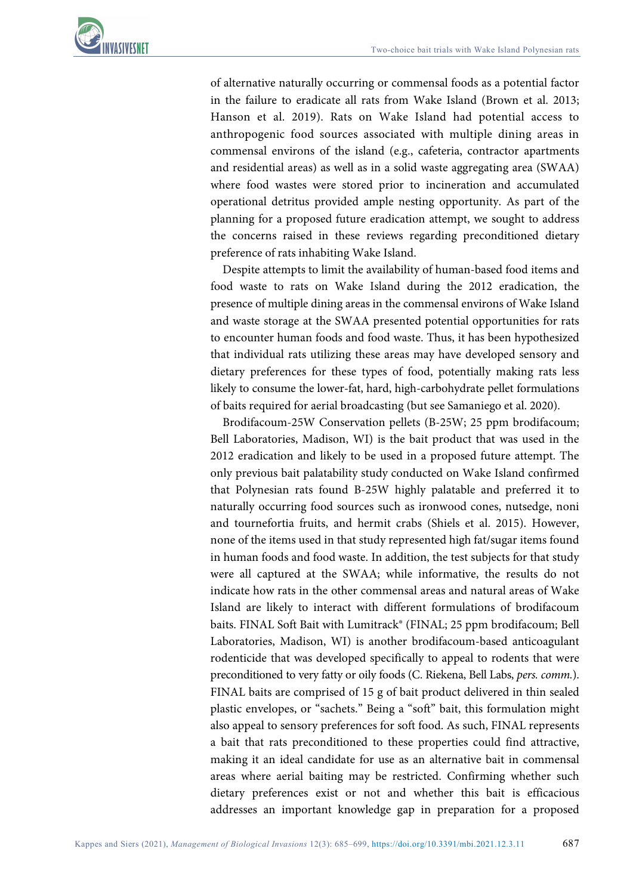

of alternative naturally occurring or commensal foods as a potential factor in the failure to eradicate all rats from Wake Island (Brown et al. 2013; Hanson et al. 2019). Rats on Wake Island had potential access to anthropogenic food sources associated with multiple dining areas in commensal environs of the island (e.g., cafeteria, contractor apartments and residential areas) as well as in a solid waste aggregating area (SWAA) where food wastes were stored prior to incineration and accumulated operational detritus provided ample nesting opportunity. As part of the planning for a proposed future eradication attempt, we sought to address the concerns raised in these reviews regarding preconditioned dietary preference of rats inhabiting Wake Island.

Despite attempts to limit the availability of human-based food items and food waste to rats on Wake Island during the 2012 eradication, the presence of multiple dining areas in the commensal environs of Wake Island and waste storage at the SWAA presented potential opportunities for rats to encounter human foods and food waste. Thus, it has been hypothesized that individual rats utilizing these areas may have developed sensory and dietary preferences for these types of food, potentially making rats less likely to consume the lower-fat, hard, high-carbohydrate pellet formulations of baits required for aerial broadcasting (but see Samaniego et al. 2020).

Brodifacoum-25W Conservation pellets (B-25W; 25 ppm brodifacoum; Bell Laboratories, Madison, WI) is the bait product that was used in the 2012 eradication and likely to be used in a proposed future attempt. The only previous bait palatability study conducted on Wake Island confirmed that Polynesian rats found B-25W highly palatable and preferred it to naturally occurring food sources such as ironwood cones, nutsedge, noni and tournefortia fruits, and hermit crabs (Shiels et al. 2015). However, none of the items used in that study represented high fat/sugar items found in human foods and food waste. In addition, the test subjects for that study were all captured at the SWAA; while informative, the results do not indicate how rats in the other commensal areas and natural areas of Wake Island are likely to interact with different formulations of brodifacoum baits. FINAL Soft Bait with Lumitrack® (FINAL; 25 ppm brodifacoum; Bell Laboratories, Madison, WI) is another brodifacoum-based anticoagulant rodenticide that was developed specifically to appeal to rodents that were preconditioned to very fatty or oily foods (C. Riekena, Bell Labs, *pers. comm.*). FINAL baits are comprised of 15 g of bait product delivered in thin sealed plastic envelopes, or "sachets." Being a "soft" bait, this formulation might also appeal to sensory preferences for soft food. As such, FINAL represents a bait that rats preconditioned to these properties could find attractive, making it an ideal candidate for use as an alternative bait in commensal areas where aerial baiting may be restricted. Confirming whether such dietary preferences exist or not and whether this bait is efficacious addresses an important knowledge gap in preparation for a proposed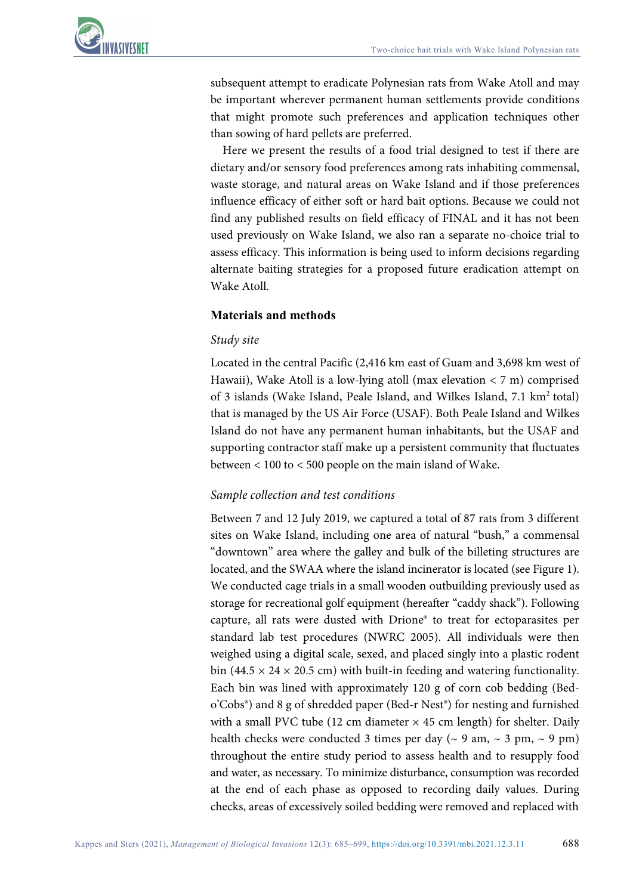

subsequent attempt to eradicate Polynesian rats from Wake Atoll and may be important wherever permanent human settlements provide conditions that might promote such preferences and application techniques other than sowing of hard pellets are preferred.

Here we present the results of a food trial designed to test if there are dietary and/or sensory food preferences among rats inhabiting commensal, waste storage, and natural areas on Wake Island and if those preferences influence efficacy of either soft or hard bait options. Because we could not find any published results on field efficacy of FINAL and it has not been used previously on Wake Island, we also ran a separate no-choice trial to assess efficacy. This information is being used to inform decisions regarding alternate baiting strategies for a proposed future eradication attempt on Wake Atoll.

#### **Materials and methods**

#### *Study site*

Located in the central Pacific (2,416 km east of Guam and 3,698 km west of Hawaii), Wake Atoll is a low-lying atoll (max elevation  $\lt 7$  m) comprised of 3 islands (Wake Island, Peale Island, and Wilkes Island, 7.1 km<sup>2</sup> total) that is managed by the US Air Force (USAF). Both Peale Island and Wilkes Island do not have any permanent human inhabitants, but the USAF and supporting contractor staff make up a persistent community that fluctuates between < 100 to < 500 people on the main island of Wake.

#### *Sample collection and test conditions*

Between 7 and 12 July 2019, we captured a total of 87 rats from 3 different sites on Wake Island, including one area of natural "bush," a commensal "downtown" area where the galley and bulk of the billeting structures are located, and the SWAA where the island incinerator is located (see Figure 1). We conducted cage trials in a small wooden outbuilding previously used as storage for recreational golf equipment (hereafter "caddy shack"). Following capture, all rats were dusted with Drione® to treat for ectoparasites per standard lab test procedures (NWRC 2005). All individuals were then weighed using a digital scale, sexed, and placed singly into a plastic rodent bin (44.5  $\times$  24  $\times$  20.5 cm) with built-in feeding and watering functionality. Each bin was lined with approximately 120 g of corn cob bedding (Bedo'Cobs®) and 8 g of shredded paper (Bed-r Nest®) for nesting and furnished with a small PVC tube (12 cm diameter  $\times$  45 cm length) for shelter. Daily health checks were conducted 3 times per day ( $\sim$  9 am,  $\sim$  3 pm,  $\sim$  9 pm) throughout the entire study period to assess health and to resupply food and water, as necessary. To minimize disturbance, consumption was recorded at the end of each phase as opposed to recording daily values. During checks, areas of excessively soiled bedding were removed and replaced with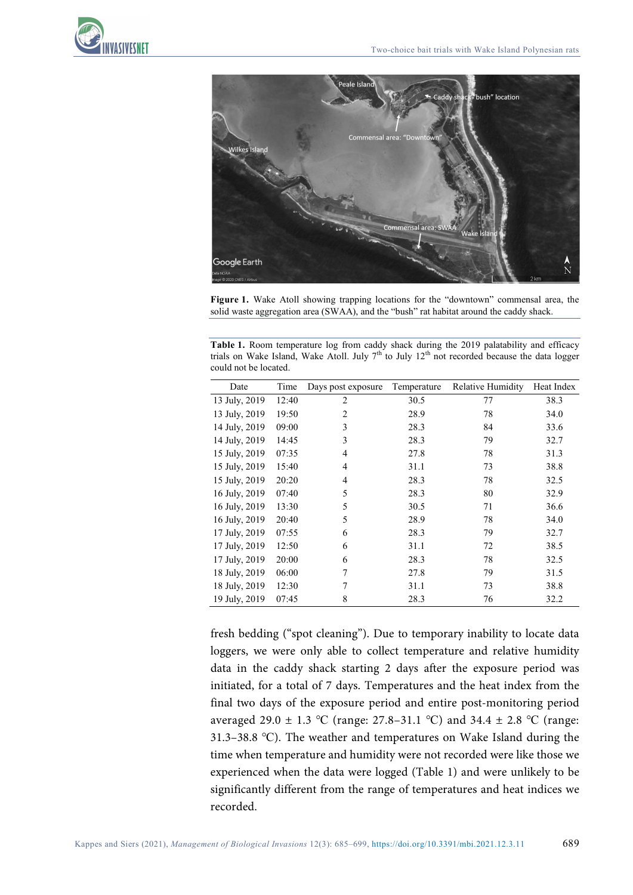



**Figure 1.** Wake Atoll showing trapping locations for the "downtown" commensal area, the solid waste aggregation area (SWAA), and the "bush" rat habitat around the caddy shack.

**Table 1.** Room temperature log from caddy shack during the 2019 palatability and efficacy trials on Wake Island, Wake Atoll. July  $7<sup>th</sup>$  to July 12<sup>th</sup> not recorded because the data logger could not be located.

| Date          | Time  | Days post exposure | Temperature | Relative Humidity | Heat Index |
|---------------|-------|--------------------|-------------|-------------------|------------|
| 13 July, 2019 | 12:40 | $\overline{c}$     | 30.5        | 77                | 38.3       |
| 13 July, 2019 | 19:50 | $\overline{2}$     | 28.9        | 78                | 34.0       |
| 14 July, 2019 | 09:00 | 3                  | 28.3        | 84                | 33.6       |
| 14 July, 2019 | 14:45 | 3                  | 28.3        | 79                | 32.7       |
| 15 July, 2019 | 07:35 | 4                  | 27.8        | 78                | 31.3       |
| 15 July, 2019 | 15:40 | 4                  | 31.1        | 73                | 38.8       |
| 15 July, 2019 | 20:20 | 4                  | 28.3        | 78                | 32.5       |
| 16 July, 2019 | 07:40 | 5                  | 28.3        | 80                | 32.9       |
| 16 July, 2019 | 13:30 | 5                  | 30.5        | 71                | 36.6       |
| 16 July, 2019 | 20:40 | 5                  | 28.9        | 78                | 34.0       |
| 17 July, 2019 | 07:55 | 6                  | 28.3        | 79                | 32.7       |
| 17 July, 2019 | 12:50 | 6                  | 31.1        | 72                | 38.5       |
| 17 July, 2019 | 20:00 | 6                  | 28.3        | 78                | 32.5       |
| 18 July, 2019 | 06:00 | 7                  | 27.8        | 79                | 31.5       |
| 18 July, 2019 | 12:30 | 7                  | 31.1        | 73                | 38.8       |
| 19 July, 2019 | 07:45 | 8                  | 28.3        | 76                | 32.2       |

fresh bedding ("spot cleaning"). Due to temporary inability to locate data loggers, we were only able to collect temperature and relative humidity data in the caddy shack starting 2 days after the exposure period was initiated, for a total of 7 days. Temperatures and the heat index from the final two days of the exposure period and entire post-monitoring period averaged 29.0 ± 1.3 ℃ (range: 27.8–31.1 ℃) and 34.4 ± 2.8 ℃ (range: 31.3–38.8 ℃). The weather and temperatures on Wake Island during the time when temperature and humidity were not recorded were like those we experienced when the data were logged (Table 1) and were unlikely to be significantly different from the range of temperatures and heat indices we recorded.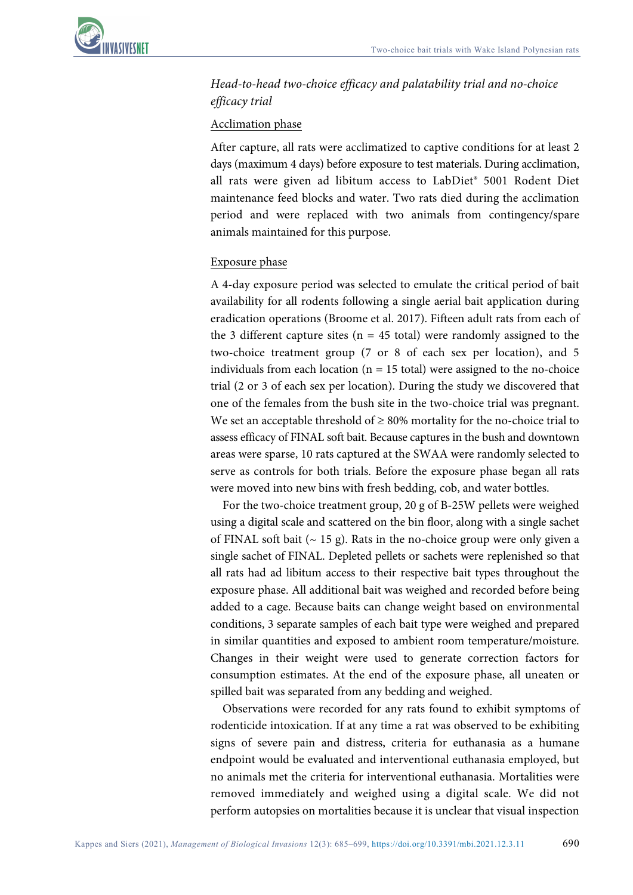## *Head-to-head two-choice efficacy and palatability trial and no-choice efficacy trial*

#### Acclimation phase

After capture, all rats were acclimatized to captive conditions for at least 2 days (maximum 4 days) before exposure to test materials. During acclimation, all rats were given ad libitum access to LabDiet® 5001 Rodent Diet maintenance feed blocks and water. Two rats died during the acclimation period and were replaced with two animals from contingency/spare animals maintained for this purpose.

#### Exposure phase

A 4-day exposure period was selected to emulate the critical period of bait availability for all rodents following a single aerial bait application during eradication operations (Broome et al. 2017). Fifteen adult rats from each of the 3 different capture sites ( $n = 45$  total) were randomly assigned to the two-choice treatment group (7 or 8 of each sex per location), and 5 individuals from each location ( $n = 15$  total) were assigned to the no-choice trial (2 or 3 of each sex per location). During the study we discovered that one of the females from the bush site in the two-choice trial was pregnant. We set an acceptable threshold of  $\geq 80\%$  mortality for the no-choice trial to assess efficacy of FINAL soft bait. Because captures in the bush and downtown areas were sparse, 10 rats captured at the SWAA were randomly selected to serve as controls for both trials. Before the exposure phase began all rats were moved into new bins with fresh bedding, cob, and water bottles.

For the two-choice treatment group, 20 g of B-25W pellets were weighed using a digital scale and scattered on the bin floor, along with a single sachet of FINAL soft bait  $($   $\sim$  15 g). Rats in the no-choice group were only given a single sachet of FINAL. Depleted pellets or sachets were replenished so that all rats had ad libitum access to their respective bait types throughout the exposure phase. All additional bait was weighed and recorded before being added to a cage. Because baits can change weight based on environmental conditions, 3 separate samples of each bait type were weighed and prepared in similar quantities and exposed to ambient room temperature/moisture. Changes in their weight were used to generate correction factors for consumption estimates. At the end of the exposure phase, all uneaten or spilled bait was separated from any bedding and weighed.

Observations were recorded for any rats found to exhibit symptoms of rodenticide intoxication. If at any time a rat was observed to be exhibiting signs of severe pain and distress, criteria for euthanasia as a humane endpoint would be evaluated and interventional euthanasia employed, but no animals met the criteria for interventional euthanasia. Mortalities were removed immediately and weighed using a digital scale. We did not perform autopsies on mortalities because it is unclear that visual inspection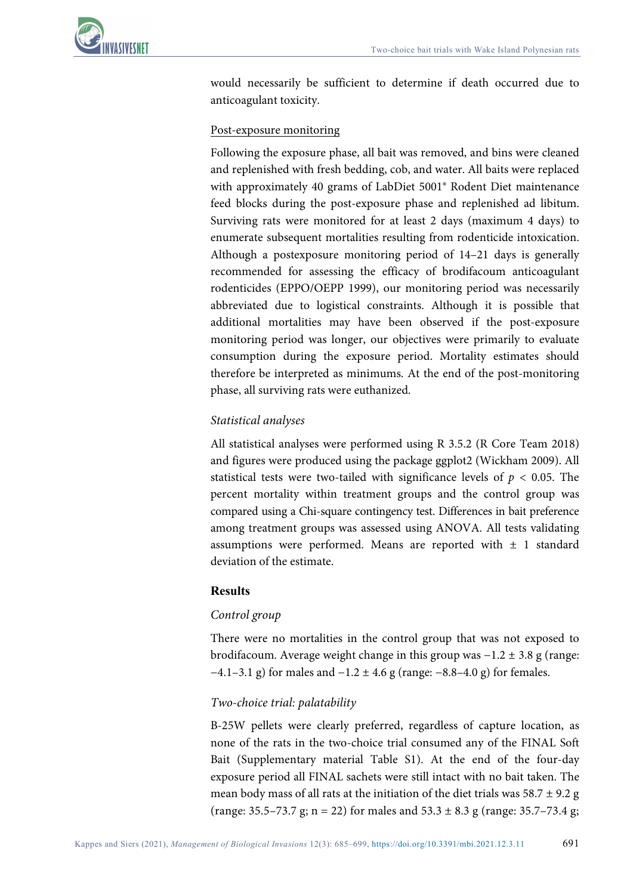

would necessarily be sufficient to determine if death occurred due to anticoagulant toxicity.

#### Post-exposure monitoring

Following the exposure phase, all bait was removed, and bins were cleaned and replenished with fresh bedding, cob, and water. All baits were replaced with approximately 40 grams of LabDiet 5001® Rodent Diet maintenance feed blocks during the post-exposure phase and replenished ad libitum. Surviving rats were monitored for at least 2 days (maximum 4 days) to enumerate subsequent mortalities resulting from rodenticide intoxication. Although a postexposure monitoring period of 14–21 days is generally recommended for assessing the efficacy of brodifacoum anticoagulant rodenticides (EPPO/OEPP 1999), our monitoring period was necessarily abbreviated due to logistical constraints. Although it is possible that additional mortalities may have been observed if the post-exposure monitoring period was longer, our objectives were primarily to evaluate consumption during the exposure period. Mortality estimates should therefore be interpreted as minimums. At the end of the post-monitoring phase, all surviving rats were euthanized.

## *Statistical analyses*

All statistical analyses were performed using R 3.5.2 (R Core Team 2018) and figures were produced using the package ggplot2 (Wickham 2009). All statistical tests were two-tailed with significance levels of  $p < 0.05$ . The percent mortality within treatment groups and the control group was compared using a Chi-square contingency test. Differences in bait preference among treatment groups was assessed using ANOVA. All tests validating assumptions were performed. Means are reported with  $\pm$  1 standard deviation of the estimate.

## **Results**

#### *Control group*

There were no mortalities in the control group that was not exposed to brodifacoum. Average weight change in this group was −1.2 ± 3.8 g (range:  $-4.1-3.1$  g) for males and  $-1.2 \pm 4.6$  g (range:  $-8.8-4.0$  g) for females.

#### *Two-choice trial: palatability*

B-25W pellets were clearly preferred, regardless of capture location, as none of the rats in the two-choice trial consumed any of the FINAL Soft Bait (Supplementary material Table S1). At the end of the four-day exposure period all FINAL sachets were still intact with no bait taken. The mean body mass of all rats at the initiation of the diet trials was  $58.7 \pm 9.2$  g (range:  $35.5 - 73.7$  g; n = 22) for males and  $53.3 \pm 8.3$  g (range:  $35.7 - 73.4$  g;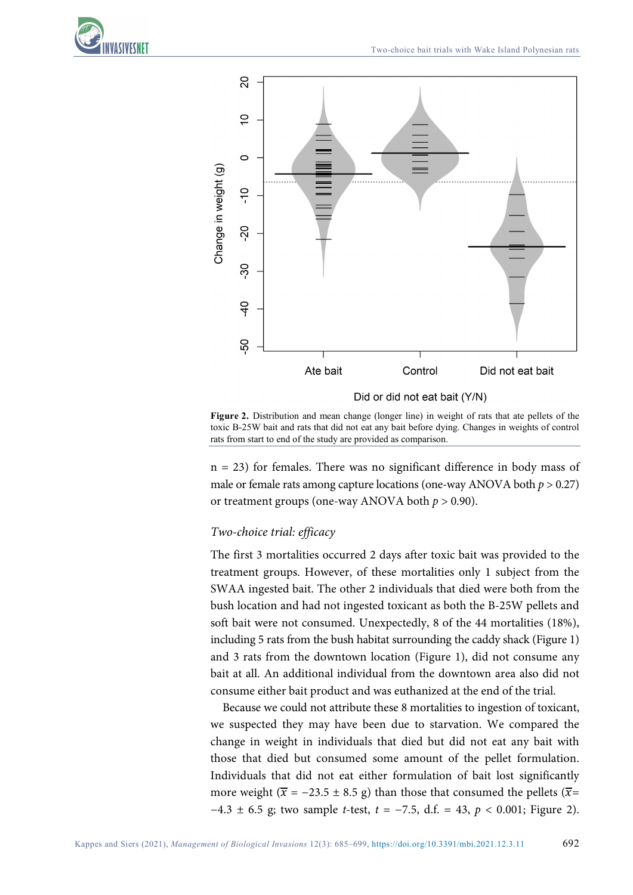

**Figure 2.** Distribution and mean change (longer line) in weight of rats that ate pellets of the toxic B-25W bait and rats that did not eat any bait before dying. Changes in weights of control rats from start to end of the study are provided as comparison.

n = 23) for females. There was no significant difference in body mass of male or female rats among capture locations (one-way ANOVA both  $p > 0.27$ ) or treatment groups (one-way ANOVA both  $p > 0.90$ ).

#### *Two-choice trial: efficacy*

The first 3 mortalities occurred 2 days after toxic bait was provided to the treatment groups. However, of these mortalities only 1 subject from the SWAA ingested bait. The other 2 individuals that died were both from the bush location and had not ingested toxicant as both the B-25W pellets and soft bait were not consumed. Unexpectedly, 8 of the 44 mortalities (18%), including 5 rats from the bush habitat surrounding the caddy shack (Figure 1) and 3 rats from the downtown location (Figure 1), did not consume any bait at all. An additional individual from the downtown area also did not consume either bait product and was euthanized at the end of the trial.

Because we could not attribute these 8 mortalities to ingestion of toxicant, we suspected they may have been due to starvation. We compared the change in weight in individuals that died but did not eat any bait with those that died but consumed some amount of the pellet formulation. Individuals that did not eat either formulation of bait lost significantly more weight ( $\bar{x}$  = -23.5 ± 8.5 g) than those that consumed the pellets ( $\bar{x}$ = −4.3 ± 6.5 g; two sample *t*-test, *t* = −7.5, d.f. = 43, *p* < 0.001; Figure 2).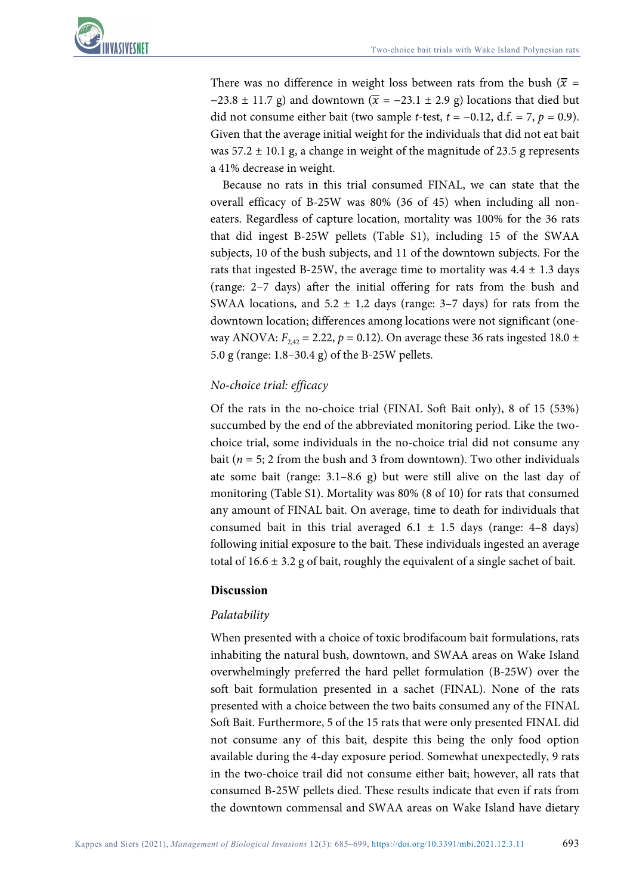

There was no difference in weight loss between rats from the bush ( $\bar{x}$  =  $-23.8 \pm 11.7$  g) and downtown ( $\bar{x} = -23.1 \pm 2.9$  g) locations that died but did not consume either bait (two sample *t*-test,  $t = -0.12$ , d.f. = 7,  $p = 0.9$ ). Given that the average initial weight for the individuals that did not eat bait was  $57.2 \pm 10.1$  g, a change in weight of the magnitude of 23.5 g represents a 41% decrease in weight.

Because no rats in this trial consumed FINAL, we can state that the overall efficacy of B-25W was 80% (36 of 45) when including all noneaters. Regardless of capture location, mortality was 100% for the 36 rats that did ingest B-25W pellets (Table S1), including 15 of the SWAA subjects, 10 of the bush subjects, and 11 of the downtown subjects. For the rats that ingested B-25W, the average time to mortality was  $4.4 \pm 1.3$  days (range: 2–7 days) after the initial offering for rats from the bush and SWAA locations, and  $5.2 \pm 1.2$  days (range: 3–7 days) for rats from the downtown location; differences among locations were not significant (oneway ANOVA:  $F_{2,42} = 2.22$ ,  $p = 0.12$ ). On average these 36 rats ingested 18.0  $\pm$ 5.0 g (range: 1.8–30.4 g) of the B-25W pellets.

#### *No-choice trial: efficacy*

Of the rats in the no-choice trial (FINAL Soft Bait only), 8 of 15 (53%) succumbed by the end of the abbreviated monitoring period. Like the twochoice trial, some individuals in the no-choice trial did not consume any bait ( $n = 5$ ; 2 from the bush and 3 from downtown). Two other individuals ate some bait (range: 3.1–8.6 g) but were still alive on the last day of monitoring (Table S1). Mortality was 80% (8 of 10) for rats that consumed any amount of FINAL bait. On average, time to death for individuals that consumed bait in this trial averaged  $6.1 \pm 1.5$  days (range: 4-8 days) following initial exposure to the bait. These individuals ingested an average total of  $16.6 \pm 3.2$  g of bait, roughly the equivalent of a single sachet of bait.

## **Discussion**

## *Palatability*

When presented with a choice of toxic brodifacoum bait formulations, rats inhabiting the natural bush, downtown, and SWAA areas on Wake Island overwhelmingly preferred the hard pellet formulation (B-25W) over the soft bait formulation presented in a sachet (FINAL). None of the rats presented with a choice between the two baits consumed any of the FINAL Soft Bait. Furthermore, 5 of the 15 rats that were only presented FINAL did not consume any of this bait, despite this being the only food option available during the 4-day exposure period. Somewhat unexpectedly, 9 rats in the two-choice trail did not consume either bait; however, all rats that consumed B-25W pellets died. These results indicate that even if rats from the downtown commensal and SWAA areas on Wake Island have dietary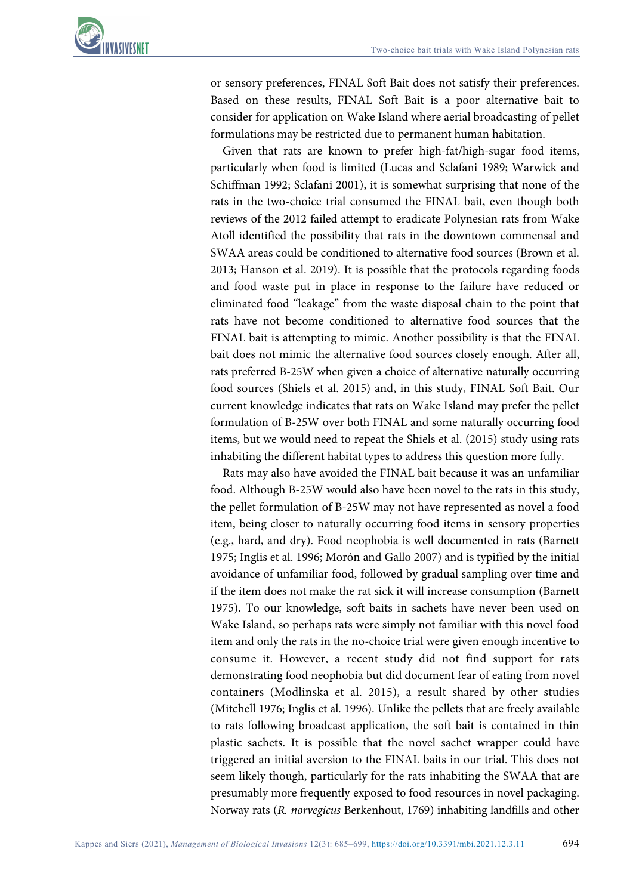

or sensory preferences, FINAL Soft Bait does not satisfy their preferences. Based on these results, FINAL Soft Bait is a poor alternative bait to consider for application on Wake Island where aerial broadcasting of pellet formulations may be restricted due to permanent human habitation.

Given that rats are known to prefer high-fat/high-sugar food items, particularly when food is limited (Lucas and Sclafani 1989; Warwick and Schiffman 1992; Sclafani 2001), it is somewhat surprising that none of the rats in the two-choice trial consumed the FINAL bait, even though both reviews of the 2012 failed attempt to eradicate Polynesian rats from Wake Atoll identified the possibility that rats in the downtown commensal and SWAA areas could be conditioned to alternative food sources (Brown et al. 2013; Hanson et al. 2019). It is possible that the protocols regarding foods and food waste put in place in response to the failure have reduced or eliminated food "leakage" from the waste disposal chain to the point that rats have not become conditioned to alternative food sources that the FINAL bait is attempting to mimic. Another possibility is that the FINAL bait does not mimic the alternative food sources closely enough. After all, rats preferred B-25W when given a choice of alternative naturally occurring food sources (Shiels et al. 2015) and, in this study, FINAL Soft Bait. Our current knowledge indicates that rats on Wake Island may prefer the pellet formulation of B-25W over both FINAL and some naturally occurring food items, but we would need to repeat the Shiels et al. (2015) study using rats inhabiting the different habitat types to address this question more fully.

Rats may also have avoided the FINAL bait because it was an unfamiliar food. Although B-25W would also have been novel to the rats in this study, the pellet formulation of B-25W may not have represented as novel a food item, being closer to naturally occurring food items in sensory properties (e.g., hard, and dry). Food neophobia is well documented in rats (Barnett 1975; Inglis et al. 1996; Morón and Gallo 2007) and is typified by the initial avoidance of unfamiliar food, followed by gradual sampling over time and if the item does not make the rat sick it will increase consumption (Barnett 1975). To our knowledge, soft baits in sachets have never been used on Wake Island, so perhaps rats were simply not familiar with this novel food item and only the rats in the no-choice trial were given enough incentive to consume it. However, a recent study did not find support for rats demonstrating food neophobia but did document fear of eating from novel containers (Modlinska et al. 2015), a result shared by other studies (Mitchell 1976; Inglis et al. 1996). Unlike the pellets that are freely available to rats following broadcast application, the soft bait is contained in thin plastic sachets. It is possible that the novel sachet wrapper could have triggered an initial aversion to the FINAL baits in our trial. This does not seem likely though, particularly for the rats inhabiting the SWAA that are presumably more frequently exposed to food resources in novel packaging. Norway rats (*R. norvegicus* Berkenhout, 1769) inhabiting landfills and other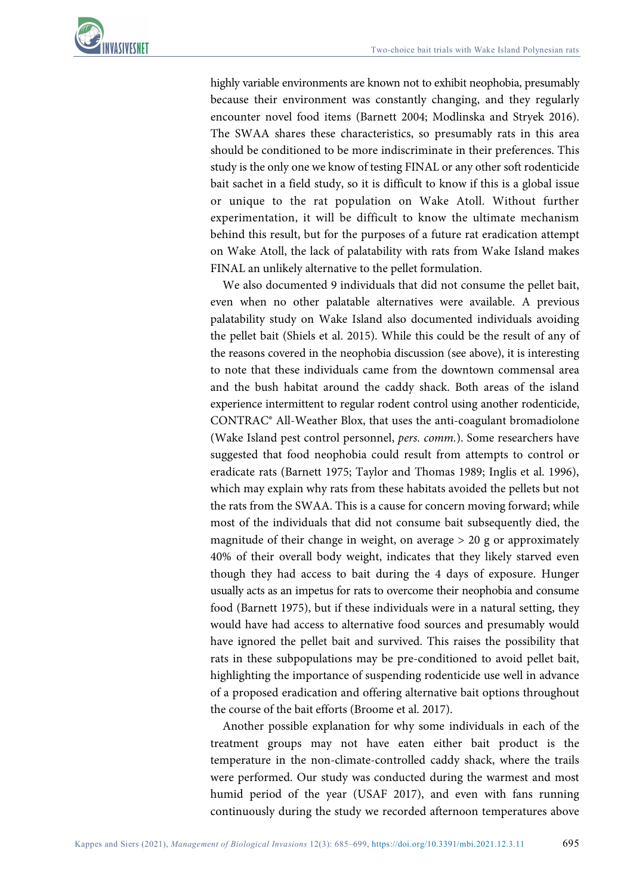highly variable environments are known not to exhibit neophobia, presumably because their environment was constantly changing, and they regularly encounter novel food items (Barnett 2004; Modlinska and Stryek 2016). The SWAA shares these characteristics, so presumably rats in this area should be conditioned to be more indiscriminate in their preferences. This study is the only one we know of testing FINAL or any other soft rodenticide bait sachet in a field study, so it is difficult to know if this is a global issue or unique to the rat population on Wake Atoll. Without further experimentation, it will be difficult to know the ultimate mechanism behind this result, but for the purposes of a future rat eradication attempt on Wake Atoll, the lack of palatability with rats from Wake Island makes FINAL an unlikely alternative to the pellet formulation.

We also documented 9 individuals that did not consume the pellet bait, even when no other palatable alternatives were available. A previous palatability study on Wake Island also documented individuals avoiding the pellet bait (Shiels et al. 2015). While this could be the result of any of the reasons covered in the neophobia discussion (see above), it is interesting to note that these individuals came from the downtown commensal area and the bush habitat around the caddy shack. Both areas of the island experience intermittent to regular rodent control using another rodenticide, CONTRAC® All-Weather Blox, that uses the anti-coagulant bromadiolone (Wake Island pest control personnel, *pers. comm.*). Some researchers have suggested that food neophobia could result from attempts to control or eradicate rats (Barnett 1975; Taylor and Thomas 1989; Inglis et al. 1996), which may explain why rats from these habitats avoided the pellets but not the rats from the SWAA. This is a cause for concern moving forward; while most of the individuals that did not consume bait subsequently died, the magnitude of their change in weight, on average > 20 g or approximately 40% of their overall body weight, indicates that they likely starved even though they had access to bait during the 4 days of exposure. Hunger usually acts as an impetus for rats to overcome their neophobia and consume food (Barnett 1975), but if these individuals were in a natural setting, they would have had access to alternative food sources and presumably would have ignored the pellet bait and survived. This raises the possibility that rats in these subpopulations may be pre-conditioned to avoid pellet bait, highlighting the importance of suspending rodenticide use well in advance of a proposed eradication and offering alternative bait options throughout the course of the bait efforts (Broome et al. 2017).

Another possible explanation for why some individuals in each of the treatment groups may not have eaten either bait product is the temperature in the non-climate-controlled caddy shack, where the trails were performed. Our study was conducted during the warmest and most humid period of the year (USAF 2017), and even with fans running continuously during the study we recorded afternoon temperatures above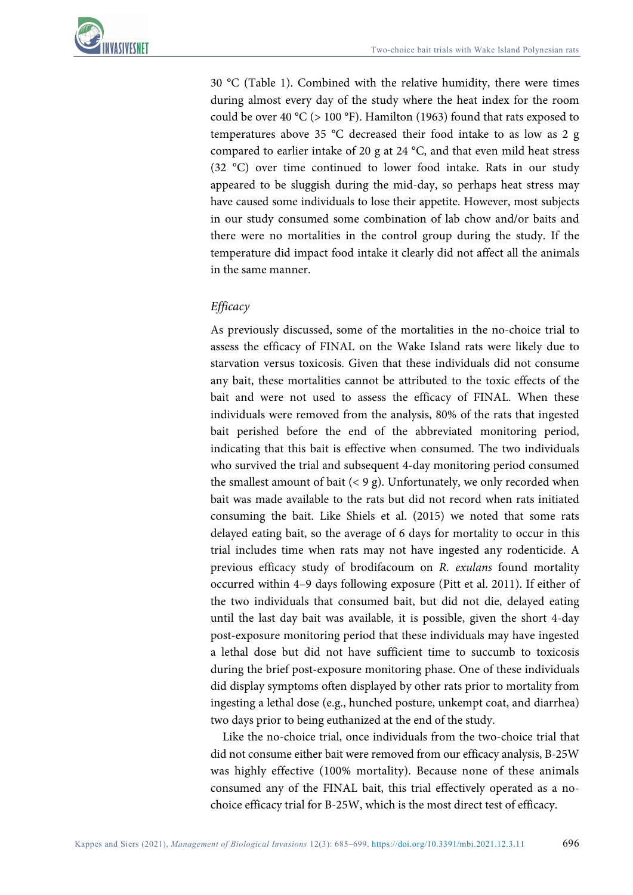30 °C (Table 1). Combined with the relative humidity, there were times during almost every day of the study where the heat index for the room could be over 40 °C ( $> 100$  °F). Hamilton (1963) found that rats exposed to temperatures above 35 °C decreased their food intake to as low as 2 g compared to earlier intake of 20 g at 24 °C, and that even mild heat stress (32 °C) over time continued to lower food intake. Rats in our study appeared to be sluggish during the mid-day, so perhaps heat stress may have caused some individuals to lose their appetite. However, most subjects in our study consumed some combination of lab chow and/or baits and there were no mortalities in the control group during the study. If the temperature did impact food intake it clearly did not affect all the animals in the same manner.

## *Efficacy*

As previously discussed, some of the mortalities in the no-choice trial to assess the efficacy of FINAL on the Wake Island rats were likely due to starvation versus toxicosis. Given that these individuals did not consume any bait, these mortalities cannot be attributed to the toxic effects of the bait and were not used to assess the efficacy of FINAL. When these individuals were removed from the analysis, 80% of the rats that ingested bait perished before the end of the abbreviated monitoring period, indicating that this bait is effective when consumed. The two individuals who survived the trial and subsequent 4-day monitoring period consumed the smallest amount of bait  $(< 9 \text{ g})$ . Unfortunately, we only recorded when bait was made available to the rats but did not record when rats initiated consuming the bait. Like Shiels et al. (2015) we noted that some rats delayed eating bait, so the average of 6 days for mortality to occur in this trial includes time when rats may not have ingested any rodenticide. A previous efficacy study of brodifacoum on *R. exulans* found mortality occurred within 4–9 days following exposure (Pitt et al. 2011). If either of the two individuals that consumed bait, but did not die, delayed eating until the last day bait was available, it is possible, given the short 4-day post-exposure monitoring period that these individuals may have ingested a lethal dose but did not have sufficient time to succumb to toxicosis during the brief post-exposure monitoring phase. One of these individuals did display symptoms often displayed by other rats prior to mortality from ingesting a lethal dose (e.g., hunched posture, unkempt coat, and diarrhea) two days prior to being euthanized at the end of the study.

Like the no-choice trial, once individuals from the two-choice trial that did not consume either bait were removed from our efficacy analysis, B-25W was highly effective (100% mortality). Because none of these animals consumed any of the FINAL bait, this trial effectively operated as a nochoice efficacy trial for B-25W, which is the most direct test of efficacy.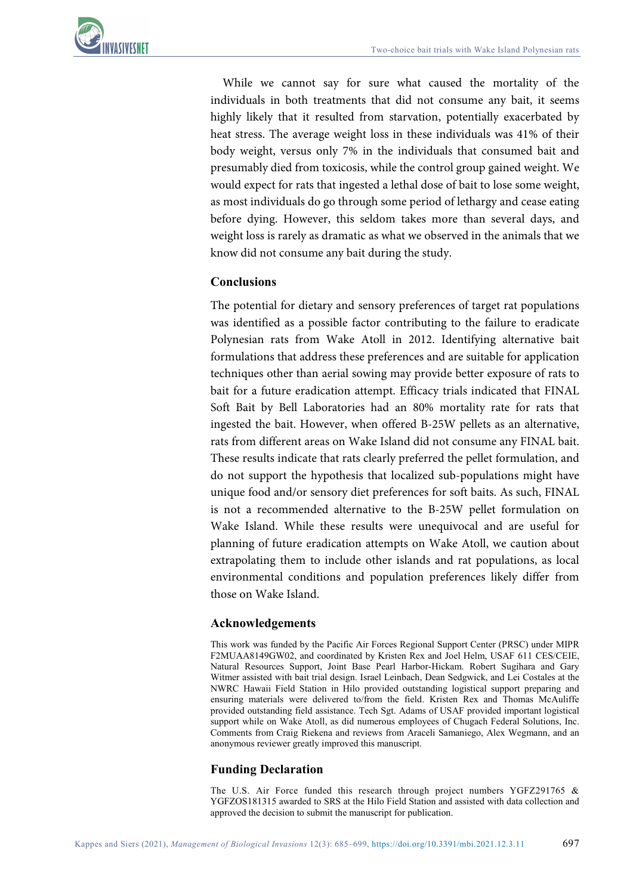

While we cannot say for sure what caused the mortality of the individuals in both treatments that did not consume any bait, it seems highly likely that it resulted from starvation, potentially exacerbated by heat stress. The average weight loss in these individuals was 41% of their body weight, versus only 7% in the individuals that consumed bait and presumably died from toxicosis, while the control group gained weight. We would expect for rats that ingested a lethal dose of bait to lose some weight, as most individuals do go through some period of lethargy and cease eating before dying. However, this seldom takes more than several days, and weight loss is rarely as dramatic as what we observed in the animals that we know did not consume any bait during the study.

#### **Conclusions**

The potential for dietary and sensory preferences of target rat populations was identified as a possible factor contributing to the failure to eradicate Polynesian rats from Wake Atoll in 2012. Identifying alternative bait formulations that address these preferences and are suitable for application techniques other than aerial sowing may provide better exposure of rats to bait for a future eradication attempt. Efficacy trials indicated that FINAL Soft Bait by Bell Laboratories had an 80% mortality rate for rats that ingested the bait. However, when offered B-25W pellets as an alternative, rats from different areas on Wake Island did not consume any FINAL bait. These results indicate that rats clearly preferred the pellet formulation, and do not support the hypothesis that localized sub-populations might have unique food and/or sensory diet preferences for soft baits. As such, FINAL is not a recommended alternative to the B-25W pellet formulation on Wake Island. While these results were unequivocal and are useful for planning of future eradication attempts on Wake Atoll, we caution about extrapolating them to include other islands and rat populations, as local environmental conditions and population preferences likely differ from those on Wake Island.

#### **Acknowledgements**

This work was funded by the Pacific Air Forces Regional Support Center (PRSC) under MIPR F2MUAA8149GW02, and coordinated by Kristen Rex and Joel Helm, USAF 611 CES/CEIE, Natural Resources Support, Joint Base Pearl Harbor-Hickam. Robert Sugihara and Gary Witmer assisted with bait trial design. Israel Leinbach, Dean Sedgwick, and Lei Costales at the NWRC Hawaii Field Station in Hilo provided outstanding logistical support preparing and ensuring materials were delivered to/from the field. Kristen Rex and Thomas McAuliffe provided outstanding field assistance. Tech Sgt. Adams of USAF provided important logistical support while on Wake Atoll, as did numerous employees of Chugach Federal Solutions, Inc. Comments from Craig Riekena and reviews from Araceli Samaniego, Alex Wegmann, and an anonymous reviewer greatly improved this manuscript.

#### **Funding Declaration**

The U.S. Air Force funded this research through project numbers YGFZ291765 & YGFZOS181315 awarded to SRS at the Hilo Field Station and assisted with data collection and approved the decision to submit the manuscript for publication.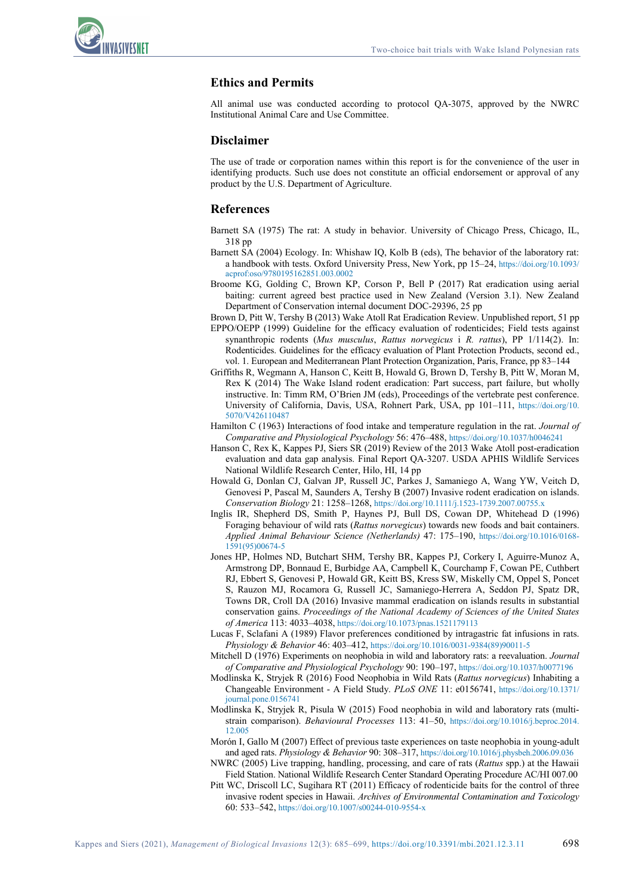

#### **Ethics and Permits**

All animal use was conducted according to protocol QA-3075, approved by the NWRC Institutional Animal Care and Use Committee.

#### **Disclaimer**

The use of trade or corporation names within this report is for the convenience of the user in identifying products. Such use does not constitute an official endorsement or approval of any product by the U.S. Department of Agriculture.

#### **References**

- Barnett SA (1975) The rat: A study in behavior. University of Chicago Press, Chicago, IL, 318 pp
- Barnett SA (2004) Ecology. In: Whishaw IQ, Kolb B (eds), The behavior of the laboratory rat: a handbook with tests. Oxford University Press, New York, pp 15–24, [https://doi.org/10.1093/](https://doi.org/10.1093/acprof:oso/9780195162851.003.0002) [acprof:oso/9780195162851.003.0002](https://doi.org/10.1093/acprof:oso/9780195162851.003.0002)
- Broome KG, Golding C, Brown KP, Corson P, Bell P (2017) Rat eradication using aerial baiting: current agreed best practice used in New Zealand (Version 3.1). New Zealand Department of Conservation internal document DOC-29396, 25 pp
- Brown D, Pitt W, Tershy B (2013) Wake Atoll Rat Eradication Review. Unpublished report, 51 pp
- EPPO/OEPP (1999) Guideline for the efficacy evaluation of rodenticides; Field tests against synanthropic rodents (*Mus musculus*, *Rattus norvegicus* i *R. rattus*), PP 1/114(2). In: Rodenticides. Guidelines for the efficacy evaluation of Plant Protection Products, second ed., vol. 1. European and Mediterranean Plant Protection Organization, Paris, France, pp 83–144
- Griffiths R, Wegmann A, Hanson C, Keitt B, Howald G, Brown D, Tershy B, Pitt W, Moran M, Rex K (2014) The Wake Island rodent eradication: Part success, part failure, but wholly instructive. In: Timm RM, O'Brien JM (eds), Proceedings of the vertebrate pest conference. University of California, Davis, USA, Rohnert Park, USA, pp 101–111, [https://doi.org/10.](https://doi.org/10.5070/V426110487) [5070/V426110487](https://doi.org/10.5070/V426110487)
- Hamilton C (1963) Interactions of food intake and temperature regulation in the rat. *Journal of Comparative and Physiological Psychology* 56: 476–488[, https://doi.org/10.1037/h0046241](https://doi.org/10.1037/h0046241)
- Hanson C, Rex K, Kappes PJ, Siers SR (2019) Review of the 2013 Wake Atoll post-eradication evaluation and data gap analysis. Final Report QA-3207. USDA APHIS Wildlife Services National Wildlife Research Center, Hilo, HI, 14 pp
- Howald G, Donlan CJ, Galvan JP, Russell JC, Parkes J, Samaniego A, Wang YW, Veitch D, Genovesi P, Pascal M, Saunders A, Tershy B (2007) Invasive rodent eradication on islands. *Conservation Biology* 21: 1258–1268,<https://doi.org/10.1111/j.1523-1739.2007.00755.x>
- Inglis IR, Shepherd DS, Smith P, Haynes PJ, Bull DS, Cowan DP, Whitehead D (1996) Foraging behaviour of wild rats (*Rattus norvegicus*) towards new foods and bait containers. *Applied Animal Behaviour Science (Netherlands)* 47: 175–190, [https://doi.org/10.1016/0168-](https://doi.org/10.1016/0168-1591(95)00674-5) [1591\(95\)00674-5](https://doi.org/10.1016/0168-1591(95)00674-5)
- Jones HP, Holmes ND, Butchart SHM, Tershy BR, Kappes PJ, Corkery I, Aguirre-Munoz A, Armstrong DP, Bonnaud E, Burbidge AA, Campbell K, Courchamp F, Cowan PE, Cuthbert RJ, Ebbert S, Genovesi P, Howald GR, Keitt BS, Kress SW, Miskelly CM, Oppel S, Poncet S, Rauzon MJ, Rocamora G, Russell JC, Samaniego-Herrera A, Seddon PJ, Spatz DR, Towns DR, Croll DA (2016) Invasive mammal eradication on islands results in substantial conservation gains. *Proceedings of the National Academy of Sciences of the United States of America* 113: 4033–4038[, https://doi.org/10.1073/pnas.1521179113](https://doi.org/10.1073/pnas.1521179113)
- Lucas F, Sclafani A (1989) Flavor preferences conditioned by intragastric fat infusions in rats. *Physiology & Behavior* 46: 403–412[, https://doi.org/10.1016/0031-9384\(89\)90011-5](https://doi.org/10.1016/0031-9384(89)90011-5)
- Mitchell D (1976) Experiments on neophobia in wild and laboratory rats: a reevaluation. *Journal of Comparative and Physiological Psychology* 90: 190–197[, https://doi.org/10.1037/h0077196](https://doi.org/10.1037/h0077196)
- Modlinska K, Stryjek R (2016) Food Neophobia in Wild Rats (*Rattus norvegicus*) Inhabiting a Changeable Environment - A Field Study. *PLoS ONE* 11: e0156741, [https://doi.org/10.1371/](https://doi.org/10.1371/journal.pone.0156741) [journal.pone.0156741](https://doi.org/10.1371/journal.pone.0156741)
- Modlinska K, Stryjek R, Pisula W (2015) Food neophobia in wild and laboratory rats (multistrain comparison). *Behavioural Processes* 113: 41–50, [https://doi.org/10.1016/j.beproc.2014.](https://doi.org/10.1016/j.beproc.2014.12.005) [12.005](https://doi.org/10.1016/j.beproc.2014.12.005)
- Morón I, Gallo M (2007) Effect of previous taste experiences on taste neophobia in young-adult and aged rats. *Physiology & Behavior* 90: 308–317[, https://doi.org/10.1016/j.physbeh.2006.09.036](https://doi.org/10.1016/j.physbeh.2006.09.036)
- NWRC (2005) Live trapping, handling, processing, and care of rats (*Rattus* spp.) at the Hawaii Field Station. National Wildlife Research Center Standard Operating Procedure AC/HI 007.00
- Pitt WC, Driscoll LC, Sugihara RT (2011) Efficacy of rodenticide baits for the control of three invasive rodent species in Hawaii. *Archives of Environmental Contamination and Toxicology* 60: 533–542,<https://doi.org/10.1007/s00244-010-9554-x>